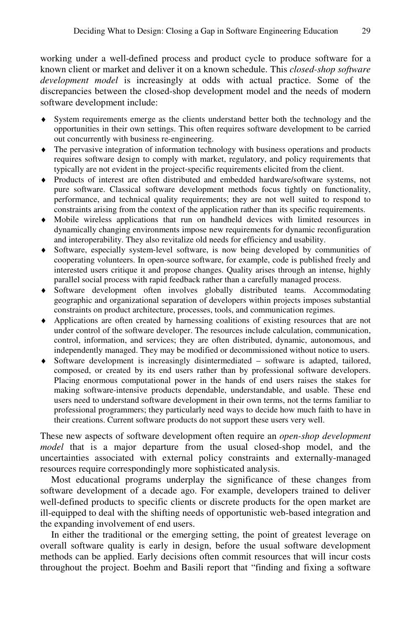working under a well-defined process and product cycle to produce software for a known client or market and deliver it on a known schedule. This *closed-shop software development model* is increasingly at odds with actual practice. Some of the discrepancies between the closed-shop development model and the needs of modern software development include:

- System requirements emerge as the clients understand better both the technology and the opportunities in their own settings. This often requires software development to be carried out concurrently with business re-engineering.
- ♦ The pervasive integration of information technology with business operations and products requires software design to comply with market, regulatory, and policy requirements that typically are not evident in the project-specific requirements elicited from the client.
- ♦ Products of interest are often distributed and embedded hardware/software systems, not pure software. Classical software development methods focus tightly on functionality, performance, and technical quality requirements; they are not well suited to respond to constraints arising from the context of the application rather than its specific requirements.
- ♦ Mobile wireless applications that run on handheld devices with limited resources in dynamically changing environments impose new requirements for dynamic reconfiguration and interoperability. They also revitalize old needs for efficiency and usability.
- Software, especially system-level software, is now being developed by communities of cooperating volunteers. In open-source software, for example, code is published freely and interested users critique it and propose changes. Quality arises through an intense, highly parallel social process with rapid feedback rather than a carefully managed process.
- ♦ Software development often involves globally distributed teams. Accommodating geographic and organizational separation of developers within projects imposes substantial constraints on product architecture, processes, tools, and communication regimes.
- Applications are often created by harnessing coalitions of existing resources that are not under control of the software developer. The resources include calculation, communication, control, information, and services; they are often distributed, dynamic, autonomous, and independently managed. They may be modified or decommissioned without notice to users.
- $\bullet$  Software development is increasingly disintermediated software is adapted, tailored, composed, or created by its end users rather than by professional software developers. Placing enormous computational power in the hands of end users raises the stakes for making software-intensive products dependable, understandable, and usable. These end users need to understand software development in their own terms, not the terms familiar to professional programmers; they particularly need ways to decide how much faith to have in their creations. Current software products do not support these users very well.

These new aspects of software development often require an *open-shop development model* that is a major departure from the usual closed-shop model, and the uncertainties associated with external policy constraints and externally-managed resources require correspondingly more sophisticated analysis.

Most educational programs underplay the significance of these changes from software development of a decade ago. For example, developers trained to deliver well-defined products to specific clients or discrete products for the open market are ill-equipped to deal with the shifting needs of opportunistic web-based integration and the expanding involvement of end users.

In either the traditional or the emerging setting, the point of greatest leverage on overall software quality is early in design, before the usual software development methods can be applied. Early decisions often commit resources that will incur costs throughout the project. Boehm and Basili report that "finding and fixing a software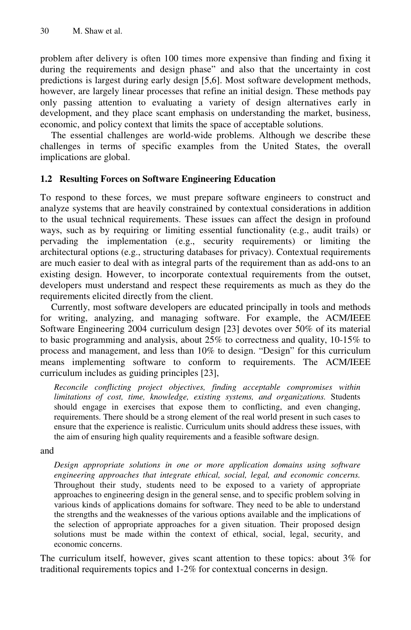problem after delivery is often 100 times more expensive than finding and fixing it during the requirements and design phase" and also that the uncertainty in cost predictions is largest during early design [5,6]. Most software development methods, however, are largely linear processes that refine an initial design. These methods pay only passing attention to evaluating a variety of design alternatives early in development, and they place scant emphasis on understanding the market, business, economic, and policy context that limits the space of acceptable solutions.

The essential challenges are world-wide problems. Although we describe these challenges in terms of specific examples from the United States, the overall implications are global.

#### **1.2 Resulting Forces on Software Engineering Education**

To respond to these forces, we must prepare software engineers to construct and analyze systems that are heavily constrained by contextual considerations in addition to the usual technical requirements. These issues can affect the design in profound ways, such as by requiring or limiting essential functionality (e.g., audit trails) or pervading the implementation (e.g., security requirements) or limiting the architectural options (e.g., structuring databases for privacy). Contextual requirements are much easier to deal with as integral parts of the requirement than as add-ons to an existing design. However, to incorporate contextual requirements from the outset, developers must understand and respect these requirements as much as they do the requirements elicited directly from the client.

Currently, most software developers are educated principally in tools and methods for writing, analyzing, and managing software. For example, the ACM/IEEE Software Engineering 2004 curriculum design [23] devotes over 50% of its material to basic programming and analysis, about 25% to correctness and quality, 10-15% to process and management, and less than 10% to design. "Design" for this curriculum means implementing software to conform to requirements. The ACM/IEEE curriculum includes as guiding principles [23],

*Reconcile conflicting project objectives, finding acceptable compromises within limitations of cost, time, knowledge, existing systems, and organizations.* Students should engage in exercises that expose them to conflicting, and even changing, requirements. There should be a strong element of the real world present in such cases to ensure that the experience is realistic. Curriculum units should address these issues, with the aim of ensuring high quality requirements and a feasible software design.

and

*Design appropriate solutions in one or more application domains using software engineering approaches that integrate ethical, social, legal, and economic concerns.*  Throughout their study, students need to be exposed to a variety of appropriate approaches to engineering design in the general sense, and to specific problem solving in various kinds of applications domains for software. They need to be able to understand the strengths and the weaknesses of the various options available and the implications of the selection of appropriate approaches for a given situation. Their proposed design solutions must be made within the context of ethical, social, legal, security, and economic concerns.

The curriculum itself, however, gives scant attention to these topics: about 3% for traditional requirements topics and 1-2% for contextual concerns in design.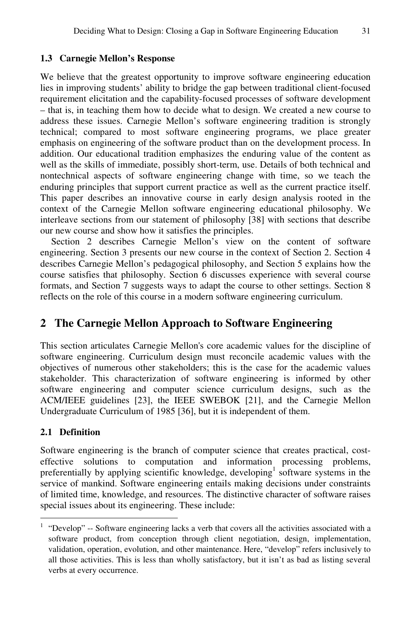#### **1.3 Carnegie Mellon's Response**

We believe that the greatest opportunity to improve software engineering education lies in improving students' ability to bridge the gap between traditional client-focused requirement elicitation and the capability-focused processes of software development – that is, in teaching them how to decide what to design. We created a new course to address these issues. Carnegie Mellon's software engineering tradition is strongly technical; compared to most software engineering programs, we place greater emphasis on engineering of the software product than on the development process. In addition. Our educational tradition emphasizes the enduring value of the content as well as the skills of immediate, possibly short-term, use. Details of both technical and nontechnical aspects of software engineering change with time, so we teach the enduring principles that support current practice as well as the current practice itself. This paper describes an innovative course in early design analysis rooted in the context of the Carnegie Mellon software engineering educational philosophy. We interleave sections from our statement of philosophy [38] with sections that describe our new course and show how it satisfies the principles.

Section 2 describes Carnegie Mellon's view on the content of software engineering. Section 3 presents our new course in the context of Section 2. Section 4 describes Carnegie Mellon's pedagogical philosophy, and Section 5 explains how the course satisfies that philosophy. Section 6 discusses experience with several course formats, and Section 7 suggests ways to adapt the course to other settings. Section 8 reflects on the role of this course in a modern software engineering curriculum.

## **2 The Carnegie Mellon Approach to Software Engineering**

This section articulates Carnegie Mellon's core academic values for the discipline of software engineering. Curriculum design must reconcile academic values with the objectives of numerous other stakeholders; this is the case for the academic values stakeholder. This characterization of software engineering is informed by other software engineering and computer science curriculum designs, such as the ACM/IEEE guidelines [23], the IEEE SWEBOK [21], and the Carnegie Mellon Undergraduate Curriculum of 1985 [36], but it is independent of them.

#### **2.1 Definition**

l

Software engineering is the branch of computer science that creates practical, costeffective solutions to computation and information processing problems, preferentially by applying scientific knowledge, developing<sup>1</sup> software systems in the service of mankind. Software engineering entails making decisions under constraints of limited time, knowledge, and resources. The distinctive character of software raises special issues about its engineering. These include:

<sup>&</sup>lt;sup>1</sup> "Develop" -- Software engineering lacks a verb that covers all the activities associated with a software product, from conception through client negotiation, design, implementation, validation, operation, evolution, and other maintenance. Here, "develop" refers inclusively to all those activities. This is less than wholly satisfactory, but it isn't as bad as listing several verbs at every occurrence.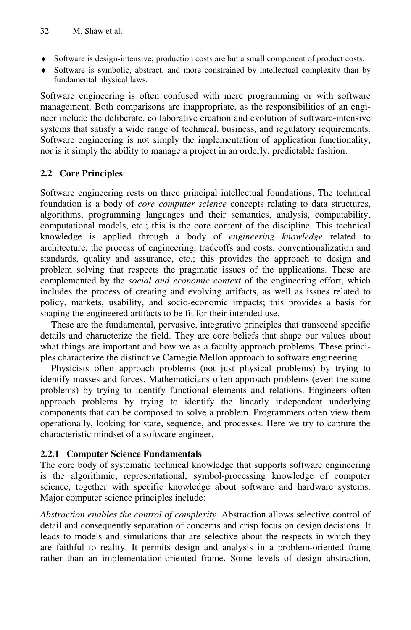- ♦ Software is design-intensive; production costs are but a small component of product costs.
- ♦ Software is symbolic, abstract, and more constrained by intellectual complexity than by fundamental physical laws.

Software engineering is often confused with mere programming or with software management. Both comparisons are inappropriate, as the responsibilities of an engineer include the deliberate, collaborative creation and evolution of software-intensive systems that satisfy a wide range of technical, business, and regulatory requirements. Software engineering is not simply the implementation of application functionality, nor is it simply the ability to manage a project in an orderly, predictable fashion.

## **2.2 Core Principles**

Software engineering rests on three principal intellectual foundations. The technical foundation is a body of *core computer science* concepts relating to data structures, algorithms, programming languages and their semantics, analysis, computability, computational models, etc.; this is the core content of the discipline. This technical knowledge is applied through a body of *engineering knowledge* related to architecture, the process of engineering, tradeoffs and costs, conventionalization and standards, quality and assurance, etc.; this provides the approach to design and problem solving that respects the pragmatic issues of the applications. These are complemented by the *social and economic context* of the engineering effort, which includes the process of creating and evolving artifacts, as well as issues related to policy, markets, usability, and socio-economic impacts; this provides a basis for shaping the engineered artifacts to be fit for their intended use.

These are the fundamental, pervasive, integrative principles that transcend specific details and characterize the field. They are core beliefs that shape our values about what things are important and how we as a faculty approach problems. These principles characterize the distinctive Carnegie Mellon approach to software engineering.

Physicists often approach problems (not just physical problems) by trying to identify masses and forces. Mathematicians often approach problems (even the same problems) by trying to identify functional elements and relations. Engineers often approach problems by trying to identify the linearly independent underlying components that can be composed to solve a problem. Programmers often view them operationally, looking for state, sequence, and processes. Here we try to capture the characteristic mindset of a software engineer.

#### **2.2.1 Computer Science Fundamentals**

The core body of systematic technical knowledge that supports software engineering is the algorithmic, representational, symbol-processing knowledge of computer science, together with specific knowledge about software and hardware systems. Major computer science principles include:

*Abstraction enables the control of complexity.* Abstraction allows selective control of detail and consequently separation of concerns and crisp focus on design decisions. It leads to models and simulations that are selective about the respects in which they are faithful to reality. It permits design and analysis in a problem-oriented frame rather than an implementation-oriented frame. Some levels of design abstraction,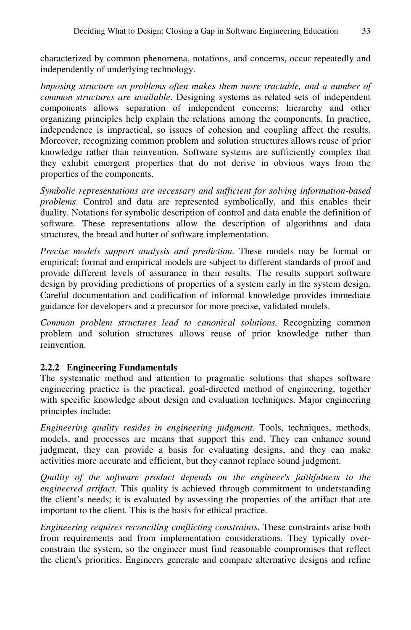characterized by common phenomena, notations, and concerns, occur repeatedly and independently of underlying technology.

*Imposing structure on problems often makes them more tractable, and a number of common structures are available*. Designing systems as related sets of independent components allows separation of independent concerns; hierarchy and other organizing principles help explain the relations among the components. In practice, independence is impractical, so issues of cohesion and coupling affect the results. Moreover, recognizing common problem and solution structures allows reuse of prior knowledge rather than reinvention. Software systems are sufficiently complex that they exhibit emergent properties that do not derive in obvious ways from the properties of the components.

*Symbolic representations are necessary and sufficient for solving information-based problems*. Control and data are represented symbolically, and this enables their duality. Notations for symbolic description of control and data enable the definition of software. These representations allow the description of algorithms and data structures, the bread and butter of software implementation.

*Precise models support analysis and prediction.* These models may be formal or empirical; formal and empirical models are subject to different standards of proof and provide different levels of assurance in their results. The results support software design by providing predictions of properties of a system early in the system design. Careful documentation and codification of informal knowledge provides immediate guidance for developers and a precursor for more precise, validated models.

*Common problem structures lead to canonical solutions.* Recognizing common problem and solution structures allows reuse of prior knowledge rather than reinvention.

## **2.2.2 Engineering Fundamentals**

The systematic method and attention to pragmatic solutions that shapes software engineering practice is the practical, goal-directed method of engineering, together with specific knowledge about design and evaluation techniques. Major engineering principles include:

*Engineering quality resides in engineering judgment.* Tools, techniques, methods, models, and processes are means that support this end. They can enhance sound judgment, they can provide a basis for evaluating designs, and they can make activities more accurate and efficient, but they cannot replace sound judgment.

*Quality of the software product depends on the engineer's faithfulness to the engineered artifact.* This quality is achieved through commitment to understanding the client's needs; it is evaluated by assessing the properties of the artifact that are important to the client. This is the basis for ethical practice.

*Engineering requires reconciling conflicting constraints.* These constraints arise both from requirements and from implementation considerations. They typically overconstrain the system, so the engineer must find reasonable compromises that reflect the client's priorities. Engineers generate and compare alternative designs and refine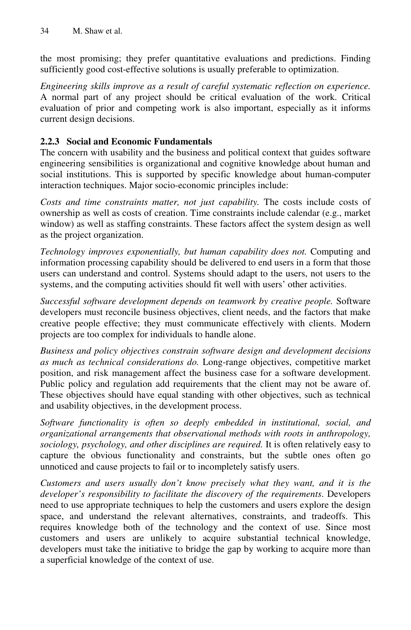the most promising; they prefer quantitative evaluations and predictions. Finding sufficiently good cost-effective solutions is usually preferable to optimization.

*Engineering skills improve as a result of careful systematic reflection on experience.* A normal part of any project should be critical evaluation of the work. Critical evaluation of prior and competing work is also important, especially as it informs current design decisions.

## **2.2.3 Social and Economic Fundamentals**

The concern with usability and the business and political context that guides software engineering sensibilities is organizational and cognitive knowledge about human and social institutions. This is supported by specific knowledge about human-computer interaction techniques. Major socio-economic principles include:

*Costs and time constraints matter, not just capability.* The costs include costs of ownership as well as costs of creation. Time constraints include calendar (e.g., market window) as well as staffing constraints. These factors affect the system design as well as the project organization.

*Technology improves exponentially, but human capability does not.* Computing and information processing capability should be delivered to end users in a form that those users can understand and control. Systems should adapt to the users, not users to the systems, and the computing activities should fit well with users' other activities.

*Successful software development depends on teamwork by creative people.* Software developers must reconcile business objectives, client needs, and the factors that make creative people effective; they must communicate effectively with clients. Modern projects are too complex for individuals to handle alone.

*Business and policy objectives constrain software design and development decisions as much as technical considerations do.* Long-range objectives, competitive market position, and risk management affect the business case for a software development. Public policy and regulation add requirements that the client may not be aware of. These objectives should have equal standing with other objectives, such as technical and usability objectives, in the development process.

*Software functionality is often so deeply embedded in institutional, social, and organizational arrangements that observational methods with roots in anthropology, sociology, psychology, and other disciplines are required.* It is often relatively easy to capture the obvious functionality and constraints, but the subtle ones often go unnoticed and cause projects to fail or to incompletely satisfy users.

*Customers and users usually don't know precisely what they want, and it is the developer's responsibility to facilitate the discovery of the requirements*. Developers need to use appropriate techniques to help the customers and users explore the design space, and understand the relevant alternatives, constraints, and tradeoffs. This requires knowledge both of the technology and the context of use. Since most customers and users are unlikely to acquire substantial technical knowledge, developers must take the initiative to bridge the gap by working to acquire more than a superficial knowledge of the context of use.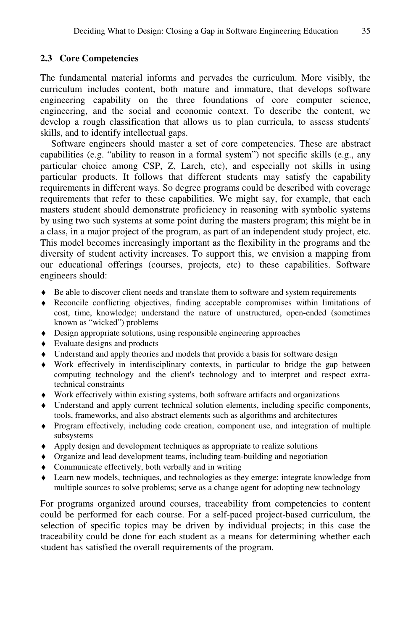#### **2.3 Core Competencies**

The fundamental material informs and pervades the curriculum. More visibly, the curriculum includes content, both mature and immature, that develops software engineering capability on the three foundations of core computer science, engineering, and the social and economic context. To describe the content, we develop a rough classification that allows us to plan curricula, to assess students' skills, and to identify intellectual gaps.

Software engineers should master a set of core competencies. These are abstract capabilities (e.g. "ability to reason in a formal system") not specific skills (e.g., any particular choice among CSP, Z, Larch, etc), and especially not skills in using particular products. It follows that different students may satisfy the capability requirements in different ways. So degree programs could be described with coverage requirements that refer to these capabilities. We might say, for example, that each masters student should demonstrate proficiency in reasoning with symbolic systems by using two such systems at some point during the masters program; this might be in a class, in a major project of the program, as part of an independent study project, etc. This model becomes increasingly important as the flexibility in the programs and the diversity of student activity increases. To support this, we envision a mapping from our educational offerings (courses, projects, etc) to these capabilities. Software engineers should:

- ♦ Be able to discover client needs and translate them to software and system requirements
- ♦ Reconcile conflicting objectives, finding acceptable compromises within limitations of cost, time, knowledge; understand the nature of unstructured, open-ended (sometimes known as "wicked") problems
- ♦ Design appropriate solutions, using responsible engineering approaches
- ♦ Evaluate designs and products
- ♦ Understand and apply theories and models that provide a basis for software design
- ♦ Work effectively in interdisciplinary contexts, in particular to bridge the gap between computing technology and the client's technology and to interpret and respect extratechnical constraints
- ♦ Work effectively within existing systems, both software artifacts and organizations
- ♦ Understand and apply current technical solution elements, including specific components, tools, frameworks, and also abstract elements such as algorithms and architectures
- ♦ Program effectively, including code creation, component use, and integration of multiple subsystems
- ♦ Apply design and development techniques as appropriate to realize solutions
- ♦ Organize and lead development teams, including team-building and negotiation
- ♦ Communicate effectively, both verbally and in writing
- ♦ Learn new models, techniques, and technologies as they emerge; integrate knowledge from multiple sources to solve problems; serve as a change agent for adopting new technology

For programs organized around courses, traceability from competencies to content could be performed for each course. For a self-paced project-based curriculum, the selection of specific topics may be driven by individual projects; in this case the traceability could be done for each student as a means for determining whether each student has satisfied the overall requirements of the program.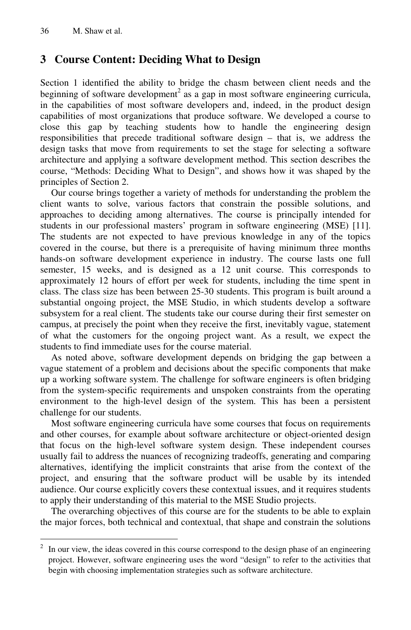j

# **3 Course Content: Deciding What to Design**

Section 1 identified the ability to bridge the chasm between client needs and the beginning of software development<sup>2</sup> as a gap in most software engineering curricula, in the capabilities of most software developers and, indeed, in the product design capabilities of most organizations that produce software. We developed a course to close this gap by teaching students how to handle the engineering design responsibilities that precede traditional software design – that is, we address the design tasks that move from requirements to set the stage for selecting a software architecture and applying a software development method. This section describes the course, "Methods: Deciding What to Design", and shows how it was shaped by the principles of Section 2.

Our course brings together a variety of methods for understanding the problem the client wants to solve, various factors that constrain the possible solutions, and approaches to deciding among alternatives. The course is principally intended for students in our professional masters' program in software engineering (MSE) [11]. The students are not expected to have previous knowledge in any of the topics covered in the course, but there is a prerequisite of having minimum three months hands-on software development experience in industry. The course lasts one full semester, 15 weeks, and is designed as a 12 unit course. This corresponds to approximately 12 hours of effort per week for students, including the time spent in class. The class size has been between 25-30 students. This program is built around a substantial ongoing project, the MSE Studio, in which students develop a software subsystem for a real client. The students take our course during their first semester on campus, at precisely the point when they receive the first, inevitably vague, statement of what the customers for the ongoing project want. As a result, we expect the students to find immediate uses for the course material.

As noted above, software development depends on bridging the gap between a vague statement of a problem and decisions about the specific components that make up a working software system. The challenge for software engineers is often bridging from the system-specific requirements and unspoken constraints from the operating environment to the high-level design of the system. This has been a persistent challenge for our students.

Most software engineering curricula have some courses that focus on requirements and other courses, for example about software architecture or object-oriented design that focus on the high-level software system design. These independent courses usually fail to address the nuances of recognizing tradeoffs, generating and comparing alternatives, identifying the implicit constraints that arise from the context of the project, and ensuring that the software product will be usable by its intended audience. Our course explicitly covers these contextual issues, and it requires students to apply their understanding of this material to the MSE Studio projects.

The overarching objectives of this course are for the students to be able to explain the major forces, both technical and contextual, that shape and constrain the solutions

 $2\;\;$  In our view, the ideas covered in this course correspond to the design phase of an engineering project. However, software engineering uses the word "design" to refer to the activities that begin with choosing implementation strategies such as software architecture.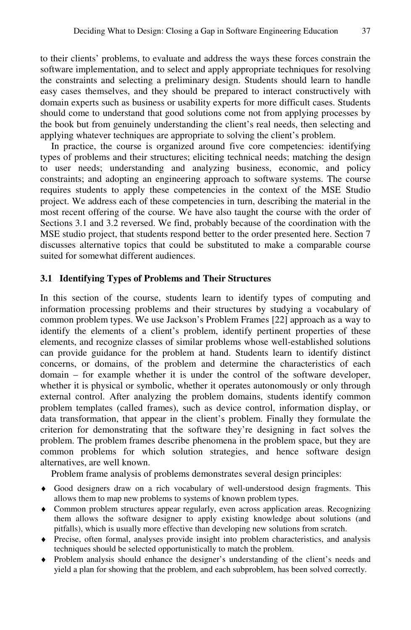to their clients' problems, to evaluate and address the ways these forces constrain the software implementation, and to select and apply appropriate techniques for resolving the constraints and selecting a preliminary design. Students should learn to handle easy cases themselves, and they should be prepared to interact constructively with domain experts such as business or usability experts for more difficult cases. Students should come to understand that good solutions come not from applying processes by the book but from genuinely understanding the client's real needs, then selecting and applying whatever techniques are appropriate to solving the client's problem.

In practice, the course is organized around five core competencies: identifying types of problems and their structures; eliciting technical needs; matching the design to user needs; understanding and analyzing business, economic, and policy constraints; and adopting an engineering approach to software systems. The course requires students to apply these competencies in the context of the MSE Studio project. We address each of these competencies in turn, describing the material in the most recent offering of the course. We have also taught the course with the order of Sections 3.1 and 3.2 reversed. We find, probably because of the coordination with the MSE studio project, that students respond better to the order presented here. Section 7 discusses alternative topics that could be substituted to make a comparable course suited for somewhat different audiences.

#### **3.1 Identifying Types of Problems and Their Structures**

In this section of the course, students learn to identify types of computing and information processing problems and their structures by studying a vocabulary of common problem types. We use Jackson's Problem Frames [22] approach as a way to identify the elements of a client's problem, identify pertinent properties of these elements, and recognize classes of similar problems whose well-established solutions can provide guidance for the problem at hand. Students learn to identify distinct concerns, or domains, of the problem and determine the characteristics of each domain – for example whether it is under the control of the software developer, whether it is physical or symbolic, whether it operates autonomously or only through external control. After analyzing the problem domains, students identify common problem templates (called frames), such as device control, information display, or data transformation, that appear in the client's problem. Finally they formulate the criterion for demonstrating that the software they're designing in fact solves the problem. The problem frames describe phenomena in the problem space, but they are common problems for which solution strategies, and hence software design alternatives, are well known.

Problem frame analysis of problems demonstrates several design principles:

- ♦ Good designers draw on a rich vocabulary of well-understood design fragments. This allows them to map new problems to systems of known problem types.
- ♦ Common problem structures appear regularly, even across application areas. Recognizing them allows the software designer to apply existing knowledge about solutions (and pitfalls), which is usually more effective than developing new solutions from scratch.
- ♦ Precise, often formal, analyses provide insight into problem characteristics, and analysis techniques should be selected opportunistically to match the problem.
- ♦ Problem analysis should enhance the designer's understanding of the client's needs and yield a plan for showing that the problem, and each subproblem, has been solved correctly.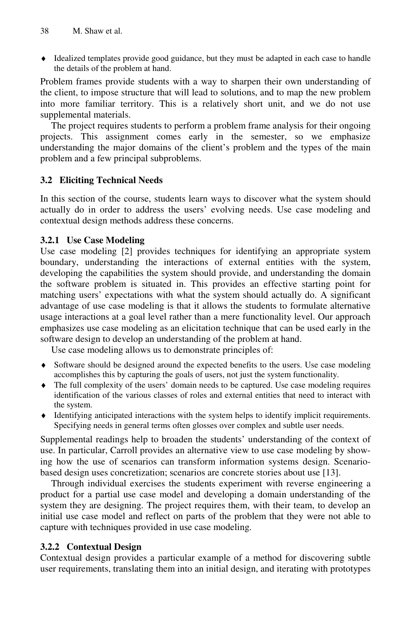♦ Idealized templates provide good guidance, but they must be adapted in each case to handle the details of the problem at hand.

Problem frames provide students with a way to sharpen their own understanding of the client, to impose structure that will lead to solutions, and to map the new problem into more familiar territory. This is a relatively short unit, and we do not use supplemental materials.

The project requires students to perform a problem frame analysis for their ongoing projects. This assignment comes early in the semester, so we emphasize understanding the major domains of the client's problem and the types of the main problem and a few principal subproblems.

## **3.2 Eliciting Technical Needs**

In this section of the course, students learn ways to discover what the system should actually do in order to address the users' evolving needs. Use case modeling and contextual design methods address these concerns.

## **3.2.1 Use Case Modeling**

Use case modeling [2] provides techniques for identifying an appropriate system boundary, understanding the interactions of external entities with the system, developing the capabilities the system should provide, and understanding the domain the software problem is situated in. This provides an effective starting point for matching users' expectations with what the system should actually do. A significant advantage of use case modeling is that it allows the students to formulate alternative usage interactions at a goal level rather than a mere functionality level. Our approach emphasizes use case modeling as an elicitation technique that can be used early in the software design to develop an understanding of the problem at hand.

Use case modeling allows us to demonstrate principles of:

- ♦ Software should be designed around the expected benefits to the users. Use case modeling accomplishes this by capturing the goals of users, not just the system functionality.
- ♦ The full complexity of the users' domain needs to be captured. Use case modeling requires identification of the various classes of roles and external entities that need to interact with the system.
- ♦ Identifying anticipated interactions with the system helps to identify implicit requirements. Specifying needs in general terms often glosses over complex and subtle user needs.

Supplemental readings help to broaden the students' understanding of the context of use. In particular, Carroll provides an alternative view to use case modeling by showing how the use of scenarios can transform information systems design. Scenariobased design uses concretization; scenarios are concrete stories about use [13].

Through individual exercises the students experiment with reverse engineering a product for a partial use case model and developing a domain understanding of the system they are designing. The project requires them, with their team, to develop an initial use case model and reflect on parts of the problem that they were not able to capture with techniques provided in use case modeling.

## **3.2.2 Contextual Design**

Contextual design provides a particular example of a method for discovering subtle user requirements, translating them into an initial design, and iterating with prototypes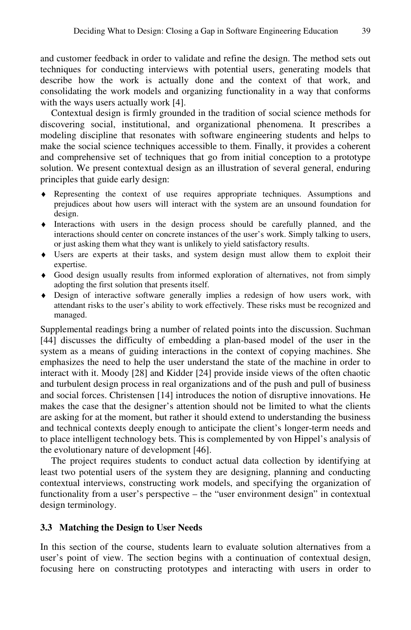and customer feedback in order to validate and refine the design. The method sets out techniques for conducting interviews with potential users, generating models that describe how the work is actually done and the context of that work, and consolidating the work models and organizing functionality in a way that conforms with the ways users actually work [4].

Contextual design is firmly grounded in the tradition of social science methods for discovering social, institutional, and organizational phenomena. It prescribes a modeling discipline that resonates with software engineering students and helps to make the social science techniques accessible to them. Finally, it provides a coherent and comprehensive set of techniques that go from initial conception to a prototype solution. We present contextual design as an illustration of several general, enduring principles that guide early design:

- Representing the context of use requires appropriate techniques. Assumptions and prejudices about how users will interact with the system are an unsound foundation for design.
- ♦ Interactions with users in the design process should be carefully planned, and the interactions should center on concrete instances of the user's work. Simply talking to users, or just asking them what they want is unlikely to yield satisfactory results.
- ♦ Users are experts at their tasks, and system design must allow them to exploit their expertise.
- ♦ Good design usually results from informed exploration of alternatives, not from simply adopting the first solution that presents itself.
- ♦ Design of interactive software generally implies a redesign of how users work, with attendant risks to the user's ability to work effectively. These risks must be recognized and managed.

Supplemental readings bring a number of related points into the discussion. Suchman [44] discusses the difficulty of embedding a plan-based model of the user in the system as a means of guiding interactions in the context of copying machines. She emphasizes the need to help the user understand the state of the machine in order to interact with it. Moody [28] and Kidder [24] provide inside views of the often chaotic and turbulent design process in real organizations and of the push and pull of business and social forces. Christensen [14] introduces the notion of disruptive innovations. He makes the case that the designer's attention should not be limited to what the clients are asking for at the moment, but rather it should extend to understanding the business and technical contexts deeply enough to anticipate the client's longer-term needs and to place intelligent technology bets. This is complemented by von Hippel's analysis of the evolutionary nature of development [46].

The project requires students to conduct actual data collection by identifying at least two potential users of the system they are designing, planning and conducting contextual interviews, constructing work models, and specifying the organization of functionality from a user's perspective – the "user environment design" in contextual design terminology.

#### **3.3 Matching the Design to User Needs**

In this section of the course, students learn to evaluate solution alternatives from a user's point of view. The section begins with a continuation of contextual design, focusing here on constructing prototypes and interacting with users in order to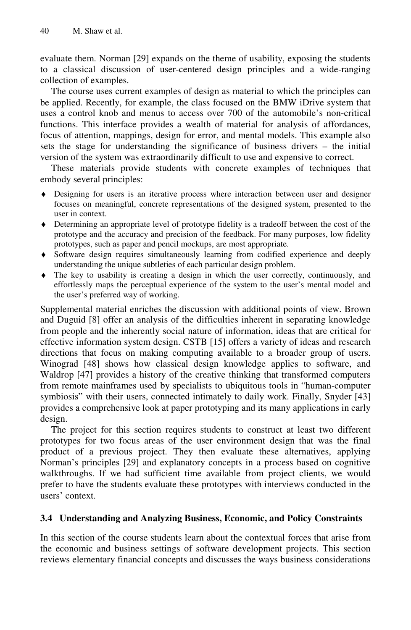evaluate them. Norman [29] expands on the theme of usability, exposing the students to a classical discussion of user-centered design principles and a wide-ranging collection of examples.

The course uses current examples of design as material to which the principles can be applied. Recently, for example, the class focused on the BMW iDrive system that uses a control knob and menus to access over 700 of the automobile's non-critical functions. This interface provides a wealth of material for analysis of affordances, focus of attention, mappings, design for error, and mental models. This example also sets the stage for understanding the significance of business drivers – the initial version of the system was extraordinarily difficult to use and expensive to correct.

These materials provide students with concrete examples of techniques that embody several principles:

- ♦ Designing for users is an iterative process where interaction between user and designer focuses on meaningful, concrete representations of the designed system, presented to the user in context.
- ♦ Determining an appropriate level of prototype fidelity is a tradeoff between the cost of the prototype and the accuracy and precision of the feedback. For many purposes, low fidelity prototypes, such as paper and pencil mockups, are most appropriate.
- ♦ Software design requires simultaneously learning from codified experience and deeply understanding the unique subtleties of each particular design problem.
- ♦ The key to usability is creating a design in which the user correctly, continuously, and effortlessly maps the perceptual experience of the system to the user's mental model and the user's preferred way of working.

Supplemental material enriches the discussion with additional points of view. Brown and Duguid [8] offer an analysis of the difficulties inherent in separating knowledge from people and the inherently social nature of information, ideas that are critical for effective information system design. CSTB [15] offers a variety of ideas and research directions that focus on making computing available to a broader group of users. Winograd [48] shows how classical design knowledge applies to software, and Waldrop [47] provides a history of the creative thinking that transformed computers from remote mainframes used by specialists to ubiquitous tools in "human-computer symbiosis" with their users, connected intimately to daily work. Finally, Snyder [43] provides a comprehensive look at paper prototyping and its many applications in early design.

The project for this section requires students to construct at least two different prototypes for two focus areas of the user environment design that was the final product of a previous project. They then evaluate these alternatives, applying Norman's principles [29] and explanatory concepts in a process based on cognitive walkthroughs. If we had sufficient time available from project clients, we would prefer to have the students evaluate these prototypes with interviews conducted in the users' context.

#### **3.4 Understanding and Analyzing Business, Economic, and Policy Constraints**

In this section of the course students learn about the contextual forces that arise from the economic and business settings of software development projects. This section reviews elementary financial concepts and discusses the ways business considerations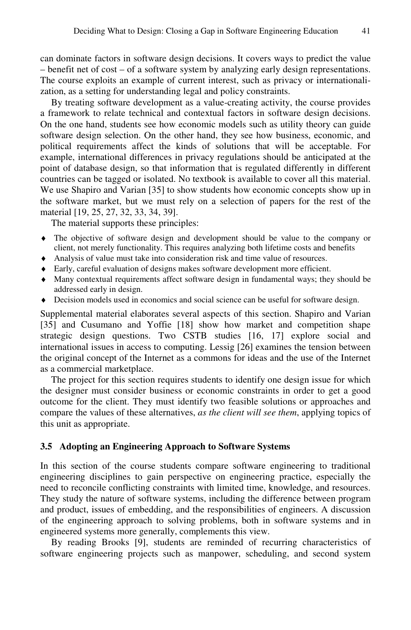can dominate factors in software design decisions. It covers ways to predict the value – benefit net of cost – of a software system by analyzing early design representations. The course exploits an example of current interest, such as privacy or internationalization, as a setting for understanding legal and policy constraints.

By treating software development as a value-creating activity, the course provides a framework to relate technical and contextual factors in software design decisions. On the one hand, students see how economic models such as utility theory can guide software design selection. On the other hand, they see how business, economic, and political requirements affect the kinds of solutions that will be acceptable. For example, international differences in privacy regulations should be anticipated at the point of database design, so that information that is regulated differently in different countries can be tagged or isolated. No textbook is available to cover all this material. We use Shapiro and Varian [35] to show students how economic concepts show up in the software market, but we must rely on a selection of papers for the rest of the material [19, 25, 27, 32, 33, 34, 39].

The material supports these principles:

- ♦ The objective of software design and development should be value to the company or client, not merely functionality. This requires analyzing both lifetime costs and benefits
- ♦ Analysis of value must take into consideration risk and time value of resources.
- ♦ Early, careful evaluation of designs makes software development more efficient.
- ♦ Many contextual requirements affect software design in fundamental ways; they should be addressed early in design.
- Decision models used in economics and social science can be useful for software design.

Supplemental material elaborates several aspects of this section. Shapiro and Varian [35] and Cusumano and Yoffie [18] show how market and competition shape strategic design questions. Two CSTB studies [16, 17] explore social and international issues in access to computing. Lessig [26] examines the tension between the original concept of the Internet as a commons for ideas and the use of the Internet as a commercial marketplace.

The project for this section requires students to identify one design issue for which the designer must consider business or economic constraints in order to get a good outcome for the client. They must identify two feasible solutions or approaches and compare the values of these alternatives, *as the client will see them*, applying topics of this unit as appropriate.

#### **3.5 Adopting an Engineering Approach to Software Systems**

In this section of the course students compare software engineering to traditional engineering disciplines to gain perspective on engineering practice, especially the need to reconcile conflicting constraints with limited time, knowledge, and resources. They study the nature of software systems, including the difference between program and product, issues of embedding, and the responsibilities of engineers. A discussion of the engineering approach to solving problems, both in software systems and in engineered systems more generally, complements this view.

By reading Brooks [9], students are reminded of recurring characteristics of software engineering projects such as manpower, scheduling, and second system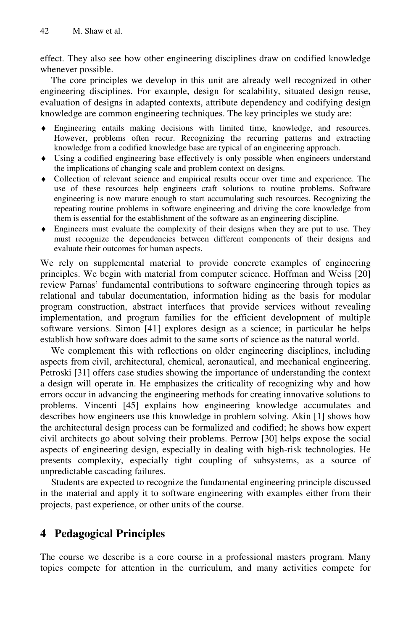effect. They also see how other engineering disciplines draw on codified knowledge whenever possible.

The core principles we develop in this unit are already well recognized in other engineering disciplines. For example, design for scalability, situated design reuse, evaluation of designs in adapted contexts, attribute dependency and codifying design knowledge are common engineering techniques. The key principles we study are:

- Engineering entails making decisions with limited time, knowledge, and resources. However, problems often recur. Recognizing the recurring patterns and extracting knowledge from a codified knowledge base are typical of an engineering approach.
- ♦ Using a codified engineering base effectively is only possible when engineers understand the implications of changing scale and problem context on designs.
- ♦ Collection of relevant science and empirical results occur over time and experience. The use of these resources help engineers craft solutions to routine problems. Software engineering is now mature enough to start accumulating such resources. Recognizing the repeating routine problems in software engineering and driving the core knowledge from them is essential for the establishment of the software as an engineering discipline.
- ♦ Engineers must evaluate the complexity of their designs when they are put to use. They must recognize the dependencies between different components of their designs and evaluate their outcomes for human aspects.

We rely on supplemental material to provide concrete examples of engineering principles. We begin with material from computer science. Hoffman and Weiss [20] review Parnas' fundamental contributions to software engineering through topics as relational and tabular documentation, information hiding as the basis for modular program construction, abstract interfaces that provide services without revealing implementation, and program families for the efficient development of multiple software versions. Simon [41] explores design as a science; in particular he helps establish how software does admit to the same sorts of science as the natural world.

We complement this with reflections on older engineering disciplines, including aspects from civil, architectural, chemical, aeronautical, and mechanical engineering. Petroski [31] offers case studies showing the importance of understanding the context a design will operate in. He emphasizes the criticality of recognizing why and how errors occur in advancing the engineering methods for creating innovative solutions to problems. Vincenti [45] explains how engineering knowledge accumulates and describes how engineers use this knowledge in problem solving. Akin [1] shows how the architectural design process can be formalized and codified; he shows how expert civil architects go about solving their problems. Perrow [30] helps expose the social aspects of engineering design, especially in dealing with high-risk technologies. He presents complexity, especially tight coupling of subsystems, as a source of unpredictable cascading failures.

Students are expected to recognize the fundamental engineering principle discussed in the material and apply it to software engineering with examples either from their projects, past experience, or other units of the course.

# **4 Pedagogical Principles**

The course we describe is a core course in a professional masters program. Many topics compete for attention in the curriculum, and many activities compete for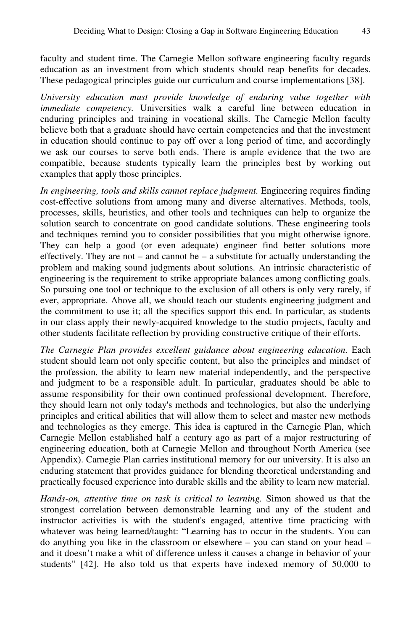faculty and student time. The Carnegie Mellon software engineering faculty regards education as an investment from which students should reap benefits for decades. These pedagogical principles guide our curriculum and course implementations [38].

*University education must provide knowledge of enduring value together with immediate competency.* Universities walk a careful line between education in enduring principles and training in vocational skills. The Carnegie Mellon faculty believe both that a graduate should have certain competencies and that the investment in education should continue to pay off over a long period of time, and accordingly we ask our courses to serve both ends. There is ample evidence that the two are compatible, because students typically learn the principles best by working out examples that apply those principles.

*In engineering, tools and skills cannot replace judgment.* Engineering requires finding cost-effective solutions from among many and diverse alternatives. Methods, tools, processes, skills, heuristics, and other tools and techniques can help to organize the solution search to concentrate on good candidate solutions. These engineering tools and techniques remind you to consider possibilities that you might otherwise ignore. They can help a good (or even adequate) engineer find better solutions more effectively. They are not – and cannot be – a substitute for actually understanding the problem and making sound judgments about solutions. An intrinsic characteristic of engineering is the requirement to strike appropriate balances among conflicting goals. So pursuing one tool or technique to the exclusion of all others is only very rarely, if ever, appropriate. Above all, we should teach our students engineering judgment and the commitment to use it; all the specifics support this end. In particular, as students in our class apply their newly-acquired knowledge to the studio projects, faculty and other students facilitate reflection by providing constructive critique of their efforts.

*The Carnegie Plan provides excellent guidance about engineering education.* Each student should learn not only specific content, but also the principles and mindset of the profession, the ability to learn new material independently, and the perspective and judgment to be a responsible adult. In particular, graduates should be able to assume responsibility for their own continued professional development. Therefore, they should learn not only today's methods and technologies, but also the underlying principles and critical abilities that will allow them to select and master new methods and technologies as they emerge. This idea is captured in the Carnegie Plan, which Carnegie Mellon established half a century ago as part of a major restructuring of engineering education, both at Carnegie Mellon and throughout North America (see Appendix). Carnegie Plan carries institutional memory for our university. It is also an enduring statement that provides guidance for blending theoretical understanding and practically focused experience into durable skills and the ability to learn new material.

*Hands-on, attentive time on task is critical to learning.* Simon showed us that the strongest correlation between demonstrable learning and any of the student and instructor activities is with the student's engaged, attentive time practicing with whatever was being learned/taught: "Learning has to occur in the students. You can do anything you like in the classroom or elsewhere – you can stand on your head – and it doesn't make a whit of difference unless it causes a change in behavior of your students" [42]. He also told us that experts have indexed memory of 50,000 to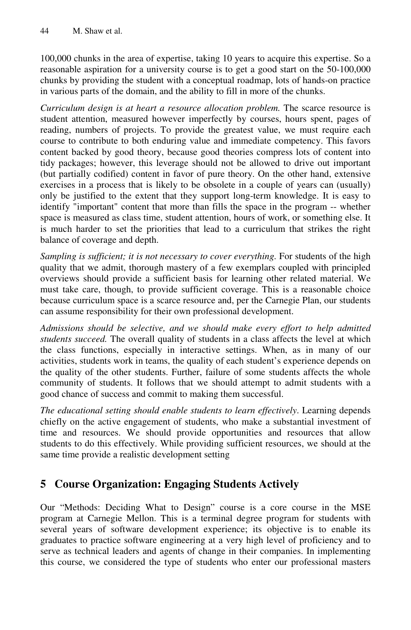100,000 chunks in the area of expertise, taking 10 years to acquire this expertise. So a reasonable aspiration for a university course is to get a good start on the 50-100,000 chunks by providing the student with a conceptual roadmap, lots of hands-on practice in various parts of the domain, and the ability to fill in more of the chunks.

*Curriculum design is at heart a resource allocation problem.* The scarce resource is student attention, measured however imperfectly by courses, hours spent, pages of reading, numbers of projects. To provide the greatest value, we must require each course to contribute to both enduring value and immediate competency. This favors content backed by good theory, because good theories compress lots of content into tidy packages; however, this leverage should not be allowed to drive out important (but partially codified) content in favor of pure theory. On the other hand, extensive exercises in a process that is likely to be obsolete in a couple of years can (usually) only be justified to the extent that they support long-term knowledge. It is easy to identify "important" content that more than fills the space in the program -- whether space is measured as class time, student attention, hours of work, or something else. It is much harder to set the priorities that lead to a curriculum that strikes the right balance of coverage and depth.

*Sampling is sufficient; it is not necessary to cover everything.* For students of the high quality that we admit, thorough mastery of a few exemplars coupled with principled overviews should provide a sufficient basis for learning other related material. We must take care, though, to provide sufficient coverage. This is a reasonable choice because curriculum space is a scarce resource and, per the Carnegie Plan, our students can assume responsibility for their own professional development.

*Admissions should be selective, and we should make every effort to help admitted students succeed.* The overall quality of students in a class affects the level at which the class functions, especially in interactive settings. When, as in many of our activities, students work in teams, the quality of each student's experience depends on the quality of the other students. Further, failure of some students affects the whole community of students. It follows that we should attempt to admit students with a good chance of success and commit to making them successful.

*The educational setting should enable students to learn effectively*. Learning depends chiefly on the active engagement of students, who make a substantial investment of time and resources. We should provide opportunities and resources that allow students to do this effectively. While providing sufficient resources, we should at the same time provide a realistic development setting

# **5 Course Organization: Engaging Students Actively**

Our "Methods: Deciding What to Design" course is a core course in the MSE program at Carnegie Mellon. This is a terminal degree program for students with several years of software development experience; its objective is to enable its graduates to practice software engineering at a very high level of proficiency and to serve as technical leaders and agents of change in their companies. In implementing this course, we considered the type of students who enter our professional masters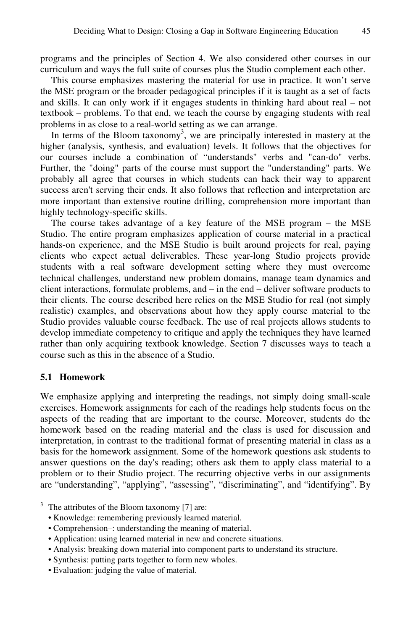programs and the principles of Section 4. We also considered other courses in our curriculum and ways the full suite of courses plus the Studio complement each other.

This course emphasizes mastering the material for use in practice. It won't serve the MSE program or the broader pedagogical principles if it is taught as a set of facts and skills. It can only work if it engages students in thinking hard about real – not textbook – problems. To that end, we teach the course by engaging students with real problems in as close to a real-world setting as we can arrange.

In terms of the Bloom taxonomy<sup>3</sup>, we are principally interested in mastery at the higher (analysis, synthesis, and evaluation) levels. It follows that the objectives for our courses include a combination of "understands" verbs and "can-do" verbs. Further, the "doing" parts of the course must support the "understanding" parts. We probably all agree that courses in which students can hack their way to apparent success aren't serving their ends. It also follows that reflection and interpretation are more important than extensive routine drilling, comprehension more important than highly technology-specific skills.

The course takes advantage of a key feature of the MSE program – the MSE Studio. The entire program emphasizes application of course material in a practical hands-on experience, and the MSE Studio is built around projects for real, paying clients who expect actual deliverables. These year-long Studio projects provide students with a real software development setting where they must overcome technical challenges, understand new problem domains, manage team dynamics and client interactions, formulate problems, and – in the end – deliver software products to their clients. The course described here relies on the MSE Studio for real (not simply realistic) examples, and observations about how they apply course material to the Studio provides valuable course feedback. The use of real projects allows students to develop immediate competency to critique and apply the techniques they have learned rather than only acquiring textbook knowledge. Section 7 discusses ways to teach a course such as this in the absence of a Studio.

#### **5.1 Homework**

-

We emphasize applying and interpreting the readings, not simply doing small-scale exercises. Homework assignments for each of the readings help students focus on the aspects of the reading that are important to the course. Moreover, students do the homework based on the reading material and the class is used for discussion and interpretation, in contrast to the traditional format of presenting material in class as a basis for the homework assignment. Some of the homework questions ask students to answer questions on the day's reading; others ask them to apply class material to a problem or to their Studio project. The recurring objective verbs in our assignments are "understanding", "applying", "assessing", "discriminating", and "identifying". By

• Evaluation: judging the value of material.

<sup>3</sup> The attributes of the Bloom taxonomy [7] are:

<sup>•</sup> Knowledge: remembering previously learned material.

<sup>•</sup> Comprehension–: understanding the meaning of material.

<sup>•</sup> Application: using learned material in new and concrete situations.

<sup>•</sup> Analysis: breaking down material into component parts to understand its structure.

<sup>•</sup> Synthesis: putting parts together to form new wholes.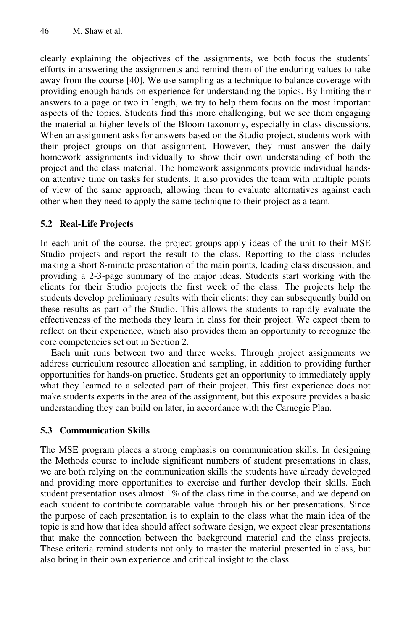clearly explaining the objectives of the assignments, we both focus the students' efforts in answering the assignments and remind them of the enduring values to take away from the course [40]. We use sampling as a technique to balance coverage with providing enough hands-on experience for understanding the topics. By limiting their answers to a page or two in length, we try to help them focus on the most important aspects of the topics. Students find this more challenging, but we see them engaging the material at higher levels of the Bloom taxonomy, especially in class discussions. When an assignment asks for answers based on the Studio project, students work with their project groups on that assignment. However, they must answer the daily homework assignments individually to show their own understanding of both the project and the class material. The homework assignments provide individual handson attentive time on tasks for students. It also provides the team with multiple points of view of the same approach, allowing them to evaluate alternatives against each other when they need to apply the same technique to their project as a team.

## **5.2 Real-Life Projects**

In each unit of the course, the project groups apply ideas of the unit to their MSE Studio projects and report the result to the class. Reporting to the class includes making a short 8-minute presentation of the main points, leading class discussion, and providing a 2-3-page summary of the major ideas. Students start working with the clients for their Studio projects the first week of the class. The projects help the students develop preliminary results with their clients; they can subsequently build on these results as part of the Studio. This allows the students to rapidly evaluate the effectiveness of the methods they learn in class for their project. We expect them to reflect on their experience, which also provides them an opportunity to recognize the core competencies set out in Section 2.

Each unit runs between two and three weeks. Through project assignments we address curriculum resource allocation and sampling, in addition to providing further opportunities for hands-on practice. Students get an opportunity to immediately apply what they learned to a selected part of their project. This first experience does not make students experts in the area of the assignment, but this exposure provides a basic understanding they can build on later, in accordance with the Carnegie Plan.

## **5.3 Communication Skills**

The MSE program places a strong emphasis on communication skills. In designing the Methods course to include significant numbers of student presentations in class, we are both relying on the communication skills the students have already developed and providing more opportunities to exercise and further develop their skills. Each student presentation uses almost 1% of the class time in the course, and we depend on each student to contribute comparable value through his or her presentations. Since the purpose of each presentation is to explain to the class what the main idea of the topic is and how that idea should affect software design, we expect clear presentations that make the connection between the background material and the class projects. These criteria remind students not only to master the material presented in class, but also bring in their own experience and critical insight to the class.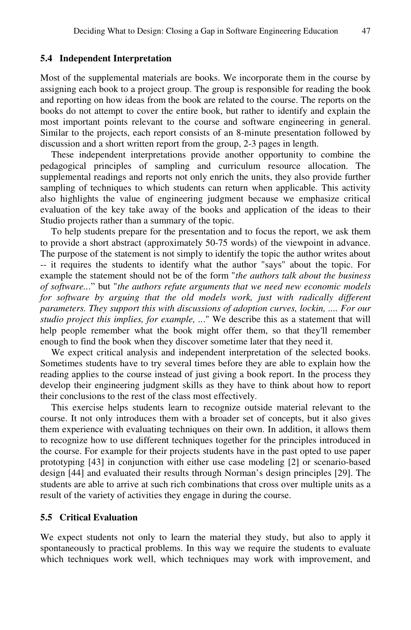#### **5.4 Independent Interpretation**

Most of the supplemental materials are books. We incorporate them in the course by assigning each book to a project group. The group is responsible for reading the book and reporting on how ideas from the book are related to the course. The reports on the books do not attempt to cover the entire book, but rather to identify and explain the most important points relevant to the course and software engineering in general. Similar to the projects, each report consists of an 8-minute presentation followed by discussion and a short written report from the group, 2-3 pages in length.

These independent interpretations provide another opportunity to combine the pedagogical principles of sampling and curriculum resource allocation. The supplemental readings and reports not only enrich the units, they also provide further sampling of techniques to which students can return when applicable. This activity also highlights the value of engineering judgment because we emphasize critical evaluation of the key take away of the books and application of the ideas to their Studio projects rather than a summary of the topic.

To help students prepare for the presentation and to focus the report, we ask them to provide a short abstract (approximately 50-75 words) of the viewpoint in advance. The purpose of the statement is not simply to identify the topic the author writes about -- it requires the students to identify what the author "says" about the topic. For example the statement should not be of the form "*the authors talk about the business of software..*." but "*the authors refute arguments that we need new economic models*  for software by arguing that the old models work, just with radically different *parameters. They support this with discussions of adoption curves, lockin, .... For our studio project this implies, for example, ..*." We describe this as a statement that will help people remember what the book might offer them, so that they'll remember enough to find the book when they discover sometime later that they need it.

We expect critical analysis and independent interpretation of the selected books. Sometimes students have to try several times before they are able to explain how the reading applies to the course instead of just giving a book report. In the process they develop their engineering judgment skills as they have to think about how to report their conclusions to the rest of the class most effectively.

This exercise helps students learn to recognize outside material relevant to the course. It not only introduces them with a broader set of concepts, but it also gives them experience with evaluating techniques on their own. In addition, it allows them to recognize how to use different techniques together for the principles introduced in the course. For example for their projects students have in the past opted to use paper prototyping [43] in conjunction with either use case modeling [2] or scenario-based design [44] and evaluated their results through Norman's design principles [29]. The students are able to arrive at such rich combinations that cross over multiple units as a result of the variety of activities they engage in during the course.

#### **5.5 Critical Evaluation**

We expect students not only to learn the material they study, but also to apply it spontaneously to practical problems. In this way we require the students to evaluate which techniques work well, which techniques may work with improvement, and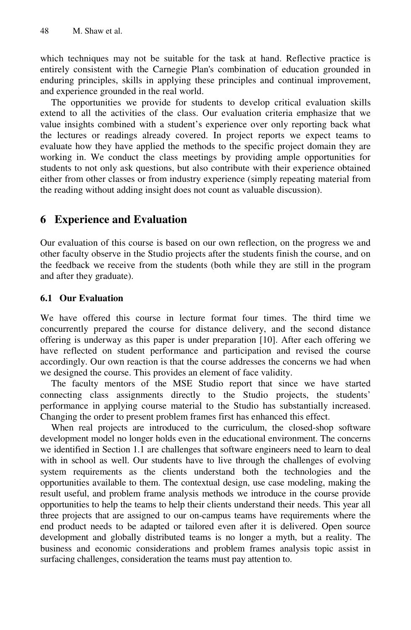which techniques may not be suitable for the task at hand. Reflective practice is entirely consistent with the Carnegie Plan's combination of education grounded in enduring principles, skills in applying these principles and continual improvement, and experience grounded in the real world.

The opportunities we provide for students to develop critical evaluation skills extend to all the activities of the class. Our evaluation criteria emphasize that we value insights combined with a student's experience over only reporting back what the lectures or readings already covered. In project reports we expect teams to evaluate how they have applied the methods to the specific project domain they are working in. We conduct the class meetings by providing ample opportunities for students to not only ask questions, but also contribute with their experience obtained either from other classes or from industry experience (simply repeating material from the reading without adding insight does not count as valuable discussion).

## **6 Experience and Evaluation**

Our evaluation of this course is based on our own reflection, on the progress we and other faculty observe in the Studio projects after the students finish the course, and on the feedback we receive from the students (both while they are still in the program and after they graduate).

## **6.1 Our Evaluation**

We have offered this course in lecture format four times. The third time we concurrently prepared the course for distance delivery, and the second distance offering is underway as this paper is under preparation [10]. After each offering we have reflected on student performance and participation and revised the course accordingly. Our own reaction is that the course addresses the concerns we had when we designed the course. This provides an element of face validity.

The faculty mentors of the MSE Studio report that since we have started connecting class assignments directly to the Studio projects, the students' performance in applying course material to the Studio has substantially increased. Changing the order to present problem frames first has enhanced this effect.

When real projects are introduced to the curriculum, the closed-shop software development model no longer holds even in the educational environment. The concerns we identified in Section 1.1 are challenges that software engineers need to learn to deal with in school as well. Our students have to live through the challenges of evolving system requirements as the clients understand both the technologies and the opportunities available to them. The contextual design, use case modeling, making the result useful, and problem frame analysis methods we introduce in the course provide opportunities to help the teams to help their clients understand their needs. This year all three projects that are assigned to our on-campus teams have requirements where the end product needs to be adapted or tailored even after it is delivered. Open source development and globally distributed teams is no longer a myth, but a reality. The business and economic considerations and problem frames analysis topic assist in surfacing challenges, consideration the teams must pay attention to.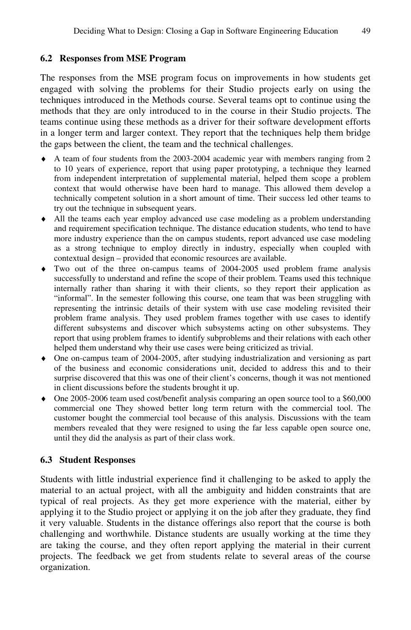#### **6.2 Responses from MSE Program**

The responses from the MSE program focus on improvements in how students get engaged with solving the problems for their Studio projects early on using the techniques introduced in the Methods course. Several teams opt to continue using the methods that they are only introduced to in the course in their Studio projects. The teams continue using these methods as a driver for their software development efforts in a longer term and larger context. They report that the techniques help them bridge the gaps between the client, the team and the technical challenges.

- $\blacklozenge$  A team of four students from the 2003-2004 academic year with members ranging from 2 to 10 years of experience, report that using paper prototyping, a technique they learned from independent interpretation of supplemental material, helped them scope a problem context that would otherwise have been hard to manage. This allowed them develop a technically competent solution in a short amount of time. Their success led other teams to try out the technique in subsequent years.
- ♦ All the teams each year employ advanced use case modeling as a problem understanding and requirement specification technique. The distance education students, who tend to have more industry experience than the on campus students, report advanced use case modeling as a strong technique to employ directly in industry, especially when coupled with contextual design – provided that economic resources are available.
- ♦ Two out of the three on-campus teams of 2004-2005 used problem frame analysis successfully to understand and refine the scope of their problem. Teams used this technique internally rather than sharing it with their clients, so they report their application as "informal". In the semester following this course, one team that was been struggling with representing the intrinsic details of their system with use case modeling revisited their problem frame analysis. They used problem frames together with use cases to identify different subsystems and discover which subsystems acting on other subsystems. They report that using problem frames to identify subproblems and their relations with each other helped them understand why their use cases were being criticized as trivial.
- ♦ One on-campus team of 2004-2005, after studying industrialization and versioning as part of the business and economic considerations unit, decided to address this and to their surprise discovered that this was one of their client's concerns, though it was not mentioned in client discussions before the students brought it up.
- ♦ One 2005-2006 team used cost/benefit analysis comparing an open source tool to a \$60,000 commercial one They showed better long term return with the commercial tool. The customer bought the commercial tool because of this analysis. Discussions with the team members revealed that they were resigned to using the far less capable open source one, until they did the analysis as part of their class work.

## **6.3 Student Responses**

Students with little industrial experience find it challenging to be asked to apply the material to an actual project, with all the ambiguity and hidden constraints that are typical of real projects. As they get more experience with the material, either by applying it to the Studio project or applying it on the job after they graduate, they find it very valuable. Students in the distance offerings also report that the course is both challenging and worthwhile. Distance students are usually working at the time they are taking the course, and they often report applying the material in their current projects. The feedback we get from students relate to several areas of the course organization.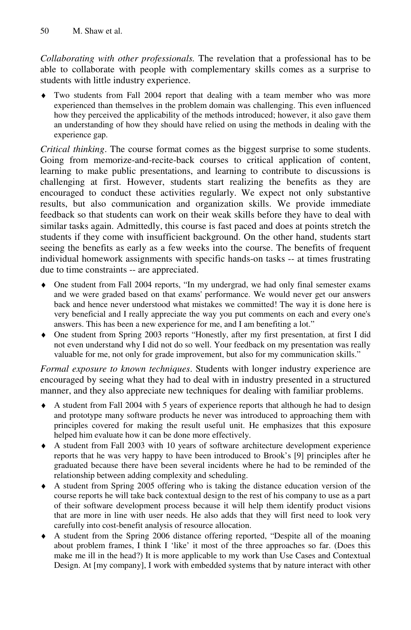*Collaborating with other professionals.* The revelation that a professional has to be able to collaborate with people with complementary skills comes as a surprise to students with little industry experience.

♦ Two students from Fall 2004 report that dealing with a team member who was more experienced than themselves in the problem domain was challenging. This even influenced how they perceived the applicability of the methods introduced; however, it also gave them an understanding of how they should have relied on using the methods in dealing with the experience gap.

*Critical thinking*. The course format comes as the biggest surprise to some students. Going from memorize-and-recite-back courses to critical application of content, learning to make public presentations, and learning to contribute to discussions is challenging at first. However, students start realizing the benefits as they are encouraged to conduct these activities regularly. We expect not only substantive results, but also communication and organization skills. We provide immediate feedback so that students can work on their weak skills before they have to deal with similar tasks again. Admittedly, this course is fast paced and does at points stretch the students if they come with insufficient background. On the other hand, students start seeing the benefits as early as a few weeks into the course. The benefits of frequent individual homework assignments with specific hands-on tasks -- at times frustrating due to time constraints -- are appreciated.

- One student from Fall 2004 reports, "In my undergrad, we had only final semester exams and we were graded based on that exams' performance. We would never get our answers back and hence never understood what mistakes we committed! The way it is done here is very beneficial and I really appreciate the way you put comments on each and every one's answers. This has been a new experience for me, and I am benefiting a lot."
- ♦ One student from Spring 2003 reports "Honestly, after my first presentation, at first I did not even understand why I did not do so well. Your feedback on my presentation was really valuable for me, not only for grade improvement, but also for my communication skills."

*Formal exposure to known techniques*. Students with longer industry experience are encouraged by seeing what they had to deal with in industry presented in a structured manner, and they also appreciate new techniques for dealing with familiar problems.

- A student from Fall 2004 with 5 years of experience reports that although he had to design and prototype many software products he never was introduced to approaching them with principles covered for making the result useful unit. He emphasizes that this exposure helped him evaluate how it can be done more effectively.
- A student from Fall 2003 with 10 years of software architecture development experience reports that he was very happy to have been introduced to Brook's [9] principles after he graduated because there have been several incidents where he had to be reminded of the relationship between adding complexity and scheduling.
- ♦ A student from Spring 2005 offering who is taking the distance education version of the course reports he will take back contextual design to the rest of his company to use as a part of their software development process because it will help them identify product visions that are more in line with user needs. He also adds that they will first need to look very carefully into cost-benefit analysis of resource allocation.
- ♦ A student from the Spring 2006 distance offering reported, "Despite all of the moaning about problem frames, I think I 'like' it most of the three approaches so far. (Does this make me ill in the head?) It is more applicable to my work than Use Cases and Contextual Design. At [my company], I work with embedded systems that by nature interact with other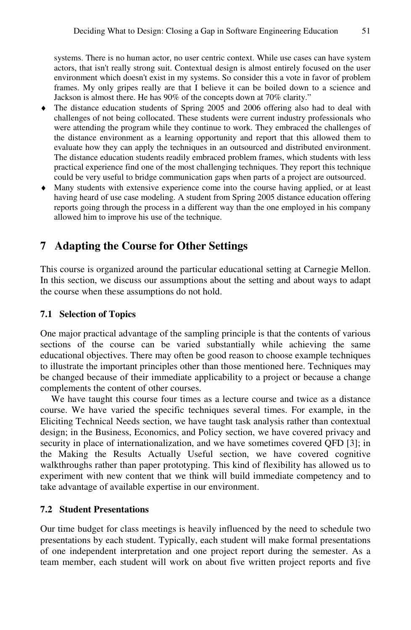systems. There is no human actor, no user centric context. While use cases can have system actors, that isn't really strong suit. Contextual design is almost entirely focused on the user environment which doesn't exist in my systems. So consider this a vote in favor of problem frames. My only gripes really are that I believe it can be boiled down to a science and Jackson is almost there. He has 90% of the concepts down at 70% clarity."

- ♦ The distance education students of Spring 2005 and 2006 offering also had to deal with challenges of not being collocated. These students were current industry professionals who were attending the program while they continue to work. They embraced the challenges of the distance environment as a learning opportunity and report that this allowed them to evaluate how they can apply the techniques in an outsourced and distributed environment. The distance education students readily embraced problem frames, which students with less practical experience find one of the most challenging techniques. They report this technique could be very useful to bridge communication gaps when parts of a project are outsourced.
- ♦ Many students with extensive experience come into the course having applied, or at least having heard of use case modeling. A student from Spring 2005 distance education offering reports going through the process in a different way than the one employed in his company allowed him to improve his use of the technique.

## **7 Adapting the Course for Other Settings**

This course is organized around the particular educational setting at Carnegie Mellon. In this section, we discuss our assumptions about the setting and about ways to adapt the course when these assumptions do not hold.

#### **7.1 Selection of Topics**

One major practical advantage of the sampling principle is that the contents of various sections of the course can be varied substantially while achieving the same educational objectives. There may often be good reason to choose example techniques to illustrate the important principles other than those mentioned here. Techniques may be changed because of their immediate applicability to a project or because a change complements the content of other courses.

We have taught this course four times as a lecture course and twice as a distance course. We have varied the specific techniques several times. For example, in the Eliciting Technical Needs section, we have taught task analysis rather than contextual design; in the Business, Economics, and Policy section, we have covered privacy and security in place of internationalization, and we have sometimes covered QFD [3]; in the Making the Results Actually Useful section, we have covered cognitive walkthroughs rather than paper prototyping. This kind of flexibility has allowed us to experiment with new content that we think will build immediate competency and to take advantage of available expertise in our environment.

#### **7.2 Student Presentations**

Our time budget for class meetings is heavily influenced by the need to schedule two presentations by each student. Typically, each student will make formal presentations of one independent interpretation and one project report during the semester. As a team member, each student will work on about five written project reports and five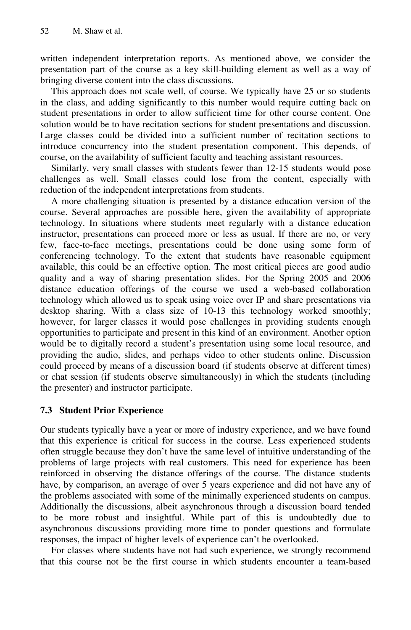written independent interpretation reports. As mentioned above, we consider the presentation part of the course as a key skill-building element as well as a way of bringing diverse content into the class discussions.

This approach does not scale well, of course. We typically have 25 or so students in the class, and adding significantly to this number would require cutting back on student presentations in order to allow sufficient time for other course content. One solution would be to have recitation sections for student presentations and discussion. Large classes could be divided into a sufficient number of recitation sections to introduce concurrency into the student presentation component. This depends, of course, on the availability of sufficient faculty and teaching assistant resources.

Similarly, very small classes with students fewer than 12-15 students would pose challenges as well. Small classes could lose from the content, especially with reduction of the independent interpretations from students.

A more challenging situation is presented by a distance education version of the course. Several approaches are possible here, given the availability of appropriate technology. In situations where students meet regularly with a distance education instructor, presentations can proceed more or less as usual. If there are no, or very few, face-to-face meetings, presentations could be done using some form of conferencing technology. To the extent that students have reasonable equipment available, this could be an effective option. The most critical pieces are good audio quality and a way of sharing presentation slides. For the Spring 2005 and 2006 distance education offerings of the course we used a web-based collaboration technology which allowed us to speak using voice over IP and share presentations via desktop sharing. With a class size of 10-13 this technology worked smoothly; however, for larger classes it would pose challenges in providing students enough opportunities to participate and present in this kind of an environment. Another option would be to digitally record a student's presentation using some local resource, and providing the audio, slides, and perhaps video to other students online. Discussion could proceed by means of a discussion board (if students observe at different times) or chat session (if students observe simultaneously) in which the students (including the presenter) and instructor participate.

## **7.3 Student Prior Experience**

Our students typically have a year or more of industry experience, and we have found that this experience is critical for success in the course. Less experienced students often struggle because they don't have the same level of intuitive understanding of the problems of large projects with real customers. This need for experience has been reinforced in observing the distance offerings of the course. The distance students have, by comparison, an average of over 5 years experience and did not have any of the problems associated with some of the minimally experienced students on campus. Additionally the discussions, albeit asynchronous through a discussion board tended to be more robust and insightful. While part of this is undoubtedly due to asynchronous discussions providing more time to ponder questions and formulate responses, the impact of higher levels of experience can't be overlooked.

For classes where students have not had such experience, we strongly recommend that this course not be the first course in which students encounter a team-based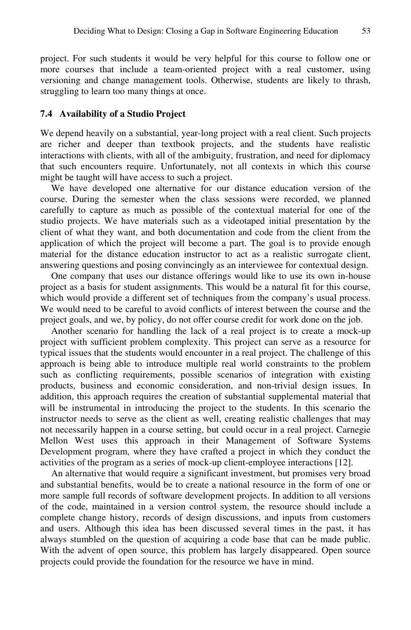project. For such students it would be very helpful for this course to follow one or more courses that include a team-oriented project with a real customer, using versioning and change management tools. Otherwise, students are likely to thrash, struggling to learn too many things at once.

#### **7.4 Availability of a Studio Project**

We depend heavily on a substantial, year-long project with a real client. Such projects are richer and deeper than textbook projects, and the students have realistic interactions with clients, with all of the ambiguity, frustration, and need for diplomacy that such encounters require. Unfortunately, not all contexts in which this course might be taught will have access to such a project.

We have developed one alternative for our distance education version of the course. During the semester when the class sessions were recorded, we planned carefully to capture as much as possible of the contextual material for one of the studio projects. We have materials such as a videotaped initial presentation by the client of what they want, and both documentation and code from the client from the application of which the project will become a part. The goal is to provide enough material for the distance education instructor to act as a realistic surrogate client, answering questions and posing convincingly as an interviewee for contextual design.

One company that uses our distance offerings would like to use its own in-house project as a basis for student assignments. This would be a natural fit for this course, which would provide a different set of techniques from the company's usual process. We would need to be careful to avoid conflicts of interest between the course and the project goals, and we, by policy, do not offer course credit for work done on the job.

Another scenario for handling the lack of a real project is to create a mock-up project with sufficient problem complexity. This project can serve as a resource for typical issues that the students would encounter in a real project. The challenge of this approach is being able to introduce multiple real world constraints to the problem such as conflicting requirements, possible scenarios of integration with existing products, business and economic consideration, and non-trivial design issues. In addition, this approach requires the creation of substantial supplemental material that will be instrumental in introducing the project to the students. In this scenario the instructor needs to serve as the client as well, creating realistic challenges that may not necessarily happen in a course setting, but could occur in a real project. Carnegie Mellon West uses this approach in their Management of Software Systems Development program, where they have crafted a project in which they conduct the activities of the program as a series of mock-up client-employee interactions [12].

An alternative that would require a significant investment, but promises very broad and substantial benefits, would be to create a national resource in the form of one or more sample full records of software development projects. In addition to all versions of the code, maintained in a version control system, the resource should include a complete change history, records of design discussions, and inputs from customers and users. Although this idea has been discussed several times in the past, it has always stumbled on the question of acquiring a code base that can be made public. With the advent of open source, this problem has largely disappeared. Open source projects could provide the foundation for the resource we have in mind.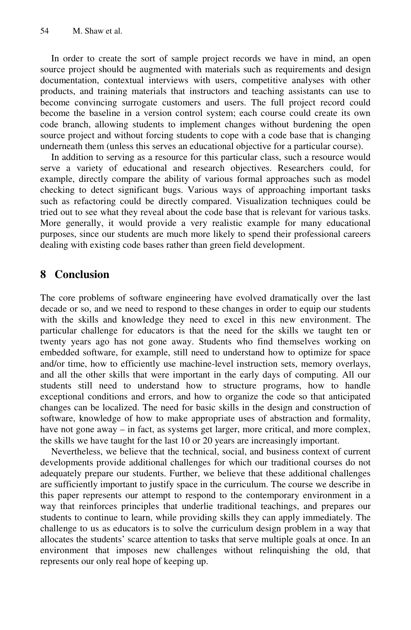In order to create the sort of sample project records we have in mind, an open source project should be augmented with materials such as requirements and design documentation, contextual interviews with users, competitive analyses with other products, and training materials that instructors and teaching assistants can use to become convincing surrogate customers and users. The full project record could become the baseline in a version control system; each course could create its own code branch, allowing students to implement changes without burdening the open source project and without forcing students to cope with a code base that is changing underneath them (unless this serves an educational objective for a particular course).

In addition to serving as a resource for this particular class, such a resource would serve a variety of educational and research objectives. Researchers could, for example, directly compare the ability of various formal approaches such as model checking to detect significant bugs. Various ways of approaching important tasks such as refactoring could be directly compared. Visualization techniques could be tried out to see what they reveal about the code base that is relevant for various tasks. More generally, it would provide a very realistic example for many educational purposes, since our students are much more likely to spend their professional careers dealing with existing code bases rather than green field development.

# **8 Conclusion**

The core problems of software engineering have evolved dramatically over the last decade or so, and we need to respond to these changes in order to equip our students with the skills and knowledge they need to excel in this new environment. The particular challenge for educators is that the need for the skills we taught ten or twenty years ago has not gone away. Students who find themselves working on embedded software, for example, still need to understand how to optimize for space and/or time, how to efficiently use machine-level instruction sets, memory overlays, and all the other skills that were important in the early days of computing. All our students still need to understand how to structure programs, how to handle exceptional conditions and errors, and how to organize the code so that anticipated changes can be localized. The need for basic skills in the design and construction of software, knowledge of how to make appropriate uses of abstraction and formality, have not gone away – in fact, as systems get larger, more critical, and more complex, the skills we have taught for the last 10 or 20 years are increasingly important.

Nevertheless, we believe that the technical, social, and business context of current developments provide additional challenges for which our traditional courses do not adequately prepare our students. Further, we believe that these additional challenges are sufficiently important to justify space in the curriculum. The course we describe in this paper represents our attempt to respond to the contemporary environment in a way that reinforces principles that underlie traditional teachings, and prepares our students to continue to learn, while providing skills they can apply immediately. The challenge to us as educators is to solve the curriculum design problem in a way that allocates the students' scarce attention to tasks that serve multiple goals at once. In an environment that imposes new challenges without relinquishing the old, that represents our only real hope of keeping up.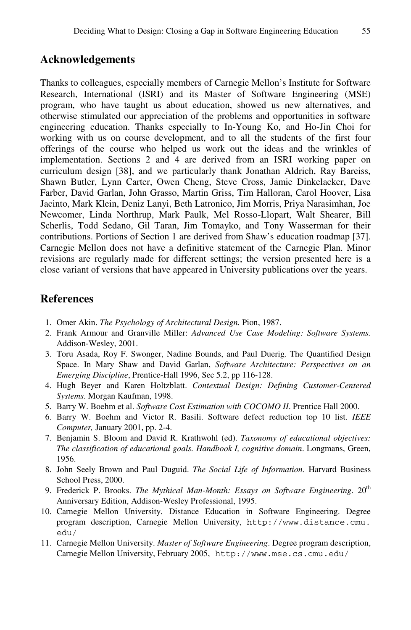#### **Acknowledgements**

Thanks to colleagues, especially members of Carnegie Mellon's Institute for Software Research, International (ISRI) and its Master of Software Engineering (MSE) program, who have taught us about education, showed us new alternatives, and otherwise stimulated our appreciation of the problems and opportunities in software engineering education. Thanks especially to In-Young Ko, and Ho-Jin Choi for working with us on course development, and to all the students of the first four offerings of the course who helped us work out the ideas and the wrinkles of implementation. Sections 2 and 4 are derived from an ISRI working paper on curriculum design [38], and we particularly thank Jonathan Aldrich, Ray Bareiss, Shawn Butler, Lynn Carter, Owen Cheng, Steve Cross, Jamie Dinkelacker, Dave Farber, David Garlan, John Grasso, Martin Griss, Tim Halloran, Carol Hoover, Lisa Jacinto, Mark Klein, Deniz Lanyi, Beth Latronico, Jim Morris, Priya Narasimhan, Joe Newcomer, Linda Northrup, Mark Paulk, Mel Rosso-Llopart, Walt Shearer, Bill Scherlis, Todd Sedano, Gil Taran, Jim Tomayko, and Tony Wasserman for their contributions. Portions of Section 1 are derived from Shaw's education roadmap [37]. Carnegie Mellon does not have a definitive statement of the Carnegie Plan. Minor revisions are regularly made for different settings; the version presented here is a close variant of versions that have appeared in University publications over the years.

### **References**

- 1. Omer Akin. *The Psychology of Architectural Design.* Pion, 1987.
- 2. Frank Armour and Granville Miller: *Advanced Use Case Modeling: Software Systems.* Addison-Wesley, 2001.
- 3. Toru Asada, Roy F. Swonger, Nadine Bounds, and Paul Duerig. The Quantified Design Space. In Mary Shaw and David Garlan, *Software Architecture: Perspectives on an Emerging Discipline*, Prentice-Hall 1996, Sec 5.2, pp 116-128.
- 4. Hugh Beyer and Karen Holtzblatt. *Contextual Design: Defining Customer-Centered Systems*. Morgan Kaufman, 1998.
- 5. Barry W. Boehm et al. *Software Cost Estimation with COCOMO II*. Prentice Hall 2000.
- 6. Barry W. Boehm and Victor R. Basili. Software defect reduction top 10 list. *IEEE Computer,* January 2001, pp. 2-4.
- 7. Benjamin S. Bloom and David R. Krathwohl (ed). *Taxonomy of educational objectives: The classification of educational goals. Handbook I, cognitive domain*. Longmans, Green, 1956.
- 8. John Seely Brown and Paul Duguid. *The Social Life of Information*. Harvard Business School Press, 2000.
- 9. Frederick P. Brooks. *The Mythical Man-Month: Essays on Software Engineering*. 20<sup>th</sup> Anniversary Edition, Addison-Wesley Professional, 1995.
- 10. Carnegie Mellon University. Distance Education in Software Engineering. Degree program description, Carnegie Mellon University, http://www.distance.cmu. edu/
- 11. Carnegie Mellon University. *Master of Software Engineering*. Degree program description, Carnegie Mellon University, February 2005, http://www.mse.cs.cmu.edu/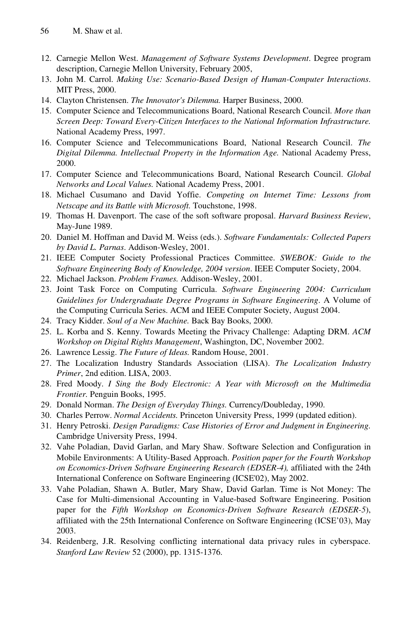- 12. Carnegie Mellon West. *Management of Software Systems Development*. Degree program description, Carnegie Mellon University, February 2005,
- 13. John M. Carrol. *Making Use: Scenario-Based Design of Human-Computer Interactions*. MIT Press, 2000.
- 14. Clayton Christensen. *The Innovator's Dilemma.* Harper Business, 2000.
- 15. Computer Science and Telecommunications Board, National Research Council. *More than Screen Deep: Toward Every-Citizen Interfaces to the National Information Infrastructure.*  National Academy Press, 1997.
- 16. Computer Science and Telecommunications Board, National Research Council. *The Digital Dilemma. Intellectual Property in the Information Age.* National Academy Press, 2000.
- 17. Computer Science and Telecommunications Board, National Research Council. *Global Networks and Local Values.* National Academy Press, 2001.
- 18. Michael Cusumano and David Yoffie. *Competing on Internet Time: Lessons from Netscape and its Battle with Microsoft.* Touchstone, 1998.
- 19. Thomas H. Davenport. The case of the soft software proposal. *Harvard Business Review*, May-June 1989.
- 20. Daniel M. Hoffman and David M. Weiss (eds.). *Software Fundamentals: Collected Papers by David L. Parnas*. Addison-Wesley, 2001.
- 21. IEEE Computer Society Professional Practices Committee. *SWEBOK: Guide to the Software Engineering Body of Knowledge, 2004 version*. IEEE Computer Society, 2004.
- 22. Michael Jackson. *Problem Frames.* Addison-Wesley, 2001.
- 23. Joint Task Force on Computing Curricula. *Software Engineering 2004: Curriculum Guidelines for Undergraduate Degree Programs in Software Engineering*. A Volume of the Computing Curricula Series. ACM and IEEE Computer Society, August 2004.
- 24. Tracy Kidder. *Soul of a New Machine.* Back Bay Books, 2000.
- 25. L. Korba and S. Kenny. Towards Meeting the Privacy Challenge: Adapting DRM. *ACM Workshop on Digital Rights Management*, Washington, DC, November 2002.
- 26. Lawrence Lessig. *The Future of Ideas.* Random House, 2001.
- 27. The Localization Industry Standards Association (LISA). *The Localization Industry Primer*, 2nd edition. LISA, 2003.
- 28. Fred Moody. *I Sing the Body Electronic: A Year with Microsoft on the Multimedia Frontier.* Penguin Books, 1995.
- 29. Donald Norman. *The Design of Everyday Things.* Currency/Doubleday, 1990.
- 30. Charles Perrow. *Normal Accidents.* Princeton University Press, 1999 (updated edition).
- 31. Henry Petroski. *Design Paradigms: Case Histories of Error and Judgment in Engineering.*  Cambridge University Press, 1994.
- 32. Vahe Poladian, David Garlan, and Mary Shaw. Software Selection and Configuration in Mobile Environments: A Utility-Based Approach. *Position paper for the Fourth Workshop on Economics-Driven Software Engineering Research (EDSER-4),* affiliated with the 24th International Conference on Software Engineering (ICSE'02), May 2002.
- 33. Vahe Poladian, Shawn A. Butler, Mary Shaw, David Garlan. Time is Not Money: The Case for Multi-dimensional Accounting in Value-based Software Engineering. Position paper for the *Fifth Workshop on Economics-Driven Software Research (EDSER-5*), affiliated with the 25th International Conference on Software Engineering (ICSE'03), May 2003.
- 34. Reidenberg, J.R. Resolving conflicting international data privacy rules in cyberspace. *Stanford Law Review* 52 (2000), pp. 1315-1376.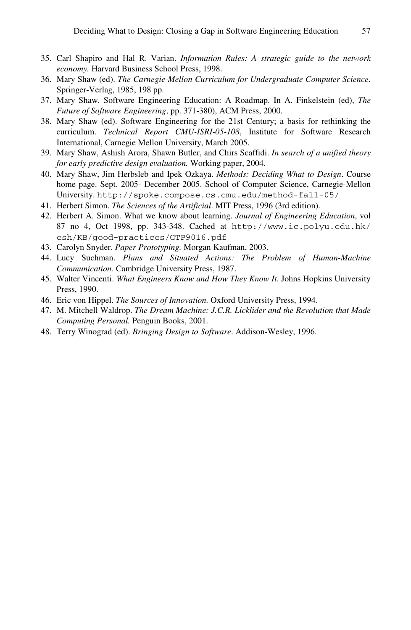- 35. Carl Shapiro and Hal R. Varian. *Information Rules: A strategic guide to the network economy.* Harvard Business School Press, 1998.
- 36. Mary Shaw (ed). *The Carnegie-Mellon Curriculum for Undergraduate Computer Science*. Springer-Verlag, 1985, 198 pp.
- 37. Mary Shaw. Software Engineering Education: A Roadmap. In A. Finkelstein (ed), *The Future of Software Engineering*, pp. 371-380), ACM Press, 2000.
- 38. Mary Shaw (ed). Software Engineering for the 21st Century; a basis for rethinking the curriculum. *Technical Report CMU-ISRI-05-108*, Institute for Software Research International, Carnegie Mellon University, March 2005.
- 39. Mary Shaw, Ashish Arora, Shawn Butler, and Chirs Scaffidi. *In search of a unified theory for early predictive design evaluation.* Working paper, 2004.
- 40. Mary Shaw, Jim Herbsleb and Ipek Ozkaya. *Methods: Deciding What to Design*. Course home page. Sept. 2005- December 2005. School of Computer Science, Carnegie-Mellon University. http://spoke.compose.cs.cmu.edu/method-fall-05/
- 41. Herbert Simon. *The Sciences of the Artificial*. MIT Press, 1996 (3rd edition).
- 42. Herbert A. Simon. What we know about learning. *Journal of Engineering Education*, vol 87 no 4, Oct 1998, pp. 343-348. Cached at http://www.ic.polyu.edu.hk/ esh/KB/good-practices/GTP9016.pdf
- 43. Carolyn Snyder. *Paper Prototyping.* Morgan Kaufman, 2003.
- 44. Lucy Suchman. *Plans and Situated Actions: The Problem of Human-Machine Communication.* Cambridge University Press, 1987.
- 45. Walter Vincenti. *What Engineers Know and How They Know It.* Johns Hopkins University Press, 1990.
- 46. Eric von Hippel. *The Sources of Innovation.* Oxford University Press, 1994.
- 47. M. Mitchell Waldrop. *The Dream Machine: J.C.R. Licklider and the Revolution that Made Computing Personal.* Penguin Books, 2001.
- 48. Terry Winograd (ed). *Bringing Design to Software*. Addison-Wesley, 1996.